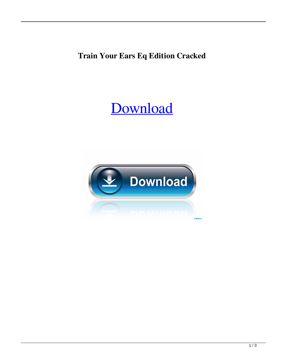**Train Your Ears Eq Edition Cracked**

## [Download](http://evacdir.com/applets/?dHJhaW4geW91ciBlYXJzIGVxIGVkaXRpb24gY3JhY2tlZAdHJ=/cortizone/ZG93bmxvYWR8eWY1TW1saFlYeDhNVFkxTWpjME1EZzJObng4TWpVM05IeDhLRTBwSUhKbFlXUXRZbXh2WnlCYlJtRnpkQ0JIUlU1ZA&excluded=lemar&minas=shimmer)

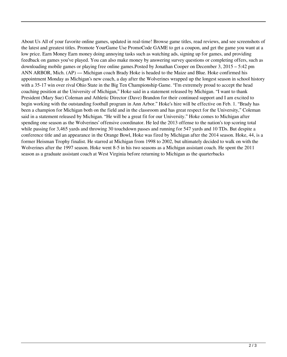About Us All of your favorite online games, updated in real-time! Browse game titles, read reviews, and see screenshots of the latest and greatest titles. Promote YourGame Use PromoCode GAME to get a coupon, and get the game you want at a low price. Earn Money Earn money doing annoying tasks such as watching ads, signing up for games, and providing feedback on games you've played. You can also make money by answering survey questions or completing offers, such as downloading mobile games or playing free online games.Posted by Jonathan Cooper on December 3, 2015 – 5:42 pm ANN ARBOR, Mich. (AP) — Michigan coach Brady Hoke is headed to the Maize and Blue. Hoke confirmed his appointment Monday as Michigan's new coach, a day after the Wolverines wrapped up the longest season in school history with a 35-17 win over rival Ohio State in the Big Ten Championship Game. "I'm extremely proud to accept the head coaching position at the University of Michigan," Hoke said in a statement released by Michigan. "I want to thank President (Mary Sue) Coleman and Athletic Director (Dave) Brandon for their continued support and I am excited to begin working with the outstanding football program in Ann Arbor." Hoke's hire will be effective on Feb. 1. "Brady has been a champion for Michigan both on the field and in the classroom and has great respect for the University," Coleman said in a statement released by Michigan. "He will be a great fit for our University." Hoke comes to Michigan after spending one season as the Wolverines' offensive coordinator. He led the 2013 offense to the nation's top scoring total while passing for 3,465 yards and throwing 30 touchdown passes and running for 547 yards and 10 TDs. But despite a conference title and an appearance in the Orange Bowl, Hoke was fired by Michigan after the 2014 season. Hoke, 44, is a former Heisman Trophy finalist. He starred at Michigan from 1998 to 2002, but ultimately decided to walk on with the Wolverines after the 1997 season. Hoke went 8-5 in his two seasons as a Michigan assistant coach. He spent the 2011 season as a graduate assistant coach at West Virginia before returning to Michigan as the quarterbacks